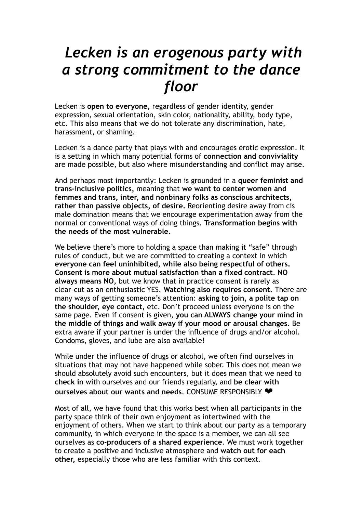## *Lecken is an erogenous party with a strong commitment to the dance floor*

Lecken is **open to everyone,** regardless of gender identity, gender expression, sexual orientation, skin color, nationality, ability, body type, etc. This also means that we do not tolerate any discrimination, hate, harassment, or shaming.

Lecken is a dance party that plays with and encourages erotic expression. It is a setting in which many potential forms of **connection and conviviality** are made possible, but also where misunderstanding and conflict may arise.

And perhaps most importantly: Lecken is grounded in a **queer feminist and trans-inclusive politics,** meaning that **we want to center women and femmes and trans, inter, and nonbinary folks as conscious architects, rather than passive objects, of desire.** Reorienting desire away from cis male domination means that we encourage experimentation away from the normal or conventional ways of doing things. **Transformation begins with the needs of the most vulnerable.**

We believe there's more to holding a space than making it "safe" through rules of conduct, but we are committed to creating a context in which **everyone can feel uninhibited, while also being respectful of others. Consent is more about mutual satisfaction than a fixed contract**. **NO always means NO,** but we know that in practice consent is rarely as clear-cut as an enthusiastic YES. **Watching also requires consent.** There are many ways of getting someone's attention: **asking to join, a polite tap on the shoulder, eye contact,** etc. Don't proceed unless everyone is on the same page. Even if consent is given, **you can ALWAYS change your mind in the middle of things and walk away if your mood or arousal changes.** Be extra aware if your partner is under the influence of drugs and/or alcohol. Condoms, gloves, and lube are also available!

While under the influence of drugs or alcohol, we often find ourselves in situations that may not have happened while sober. This does not mean we should absolutely avoid such encounters, but it does mean that we need to **check in** with ourselves and our friends regularly, and **be clear with ourselves about our wants and needs**. CONSUME RESPONSIBLY ❤

Most of all, we have found that this works best when all participants in the party space think of their own enjoyment as intertwined with the enjoyment of others. When we start to think about our party as a temporary community, in which everyone in the space is a member, we can all see ourselves as **co-producers of a shared experience**. We must work together to create a positive and inclusive atmosphere and **watch out for each other,** especially those who are less familiar with this context.